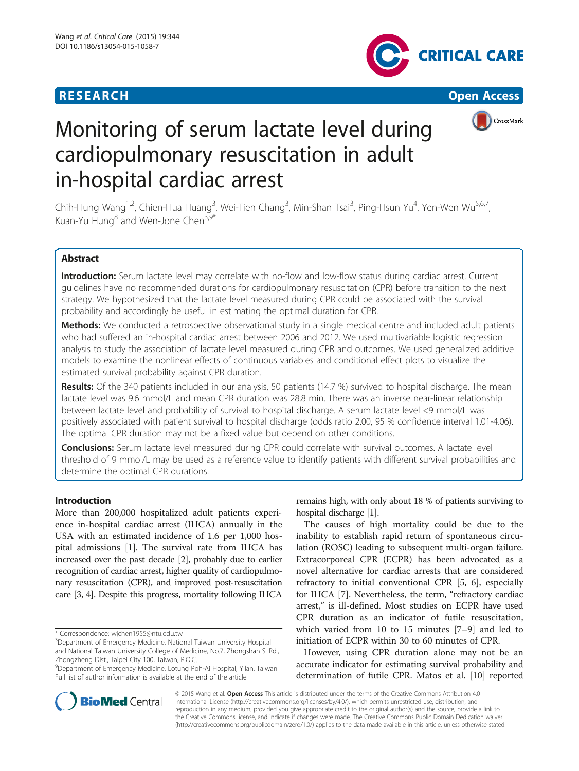

**RESEARCH CHEAR CHEAR CHEAR CHEAR CHEAR CHEAR CHEAR CHEAR CHEAR CHEAR CHEAR CHEAR CHEAR CHEAR CHEAR CHEAR CHEAR** 



# Monitoring of serum lactate level during cardiopulmonary resuscitation in adult in-hospital cardiac arrest

Chih-Hung Wang<sup>1,2</sup>, Chien-Hua Huang<sup>3</sup>, Wei-Tien Chang<sup>3</sup>, Min-Shan Tsai<sup>3</sup>, Ping-Hsun Yu<sup>4</sup>, Yen-Wen Wu<sup>5,6,7</sup>, Kuan-Yu Hung<sup>8</sup> and Wen-Jone Chen<sup>3,9</sup>

# Abstract

Introduction: Serum lactate level may correlate with no-flow and low-flow status during cardiac arrest. Current guidelines have no recommended durations for cardiopulmonary resuscitation (CPR) before transition to the next strategy. We hypothesized that the lactate level measured during CPR could be associated with the survival probability and accordingly be useful in estimating the optimal duration for CPR.

Methods: We conducted a retrospective observational study in a single medical centre and included adult patients who had suffered an in-hospital cardiac arrest between 2006 and 2012. We used multivariable logistic regression analysis to study the association of lactate level measured during CPR and outcomes. We used generalized additive models to examine the nonlinear effects of continuous variables and conditional effect plots to visualize the estimated survival probability against CPR duration.

Results: Of the 340 patients included in our analysis, 50 patients (14.7 %) survived to hospital discharge. The mean lactate level was 9.6 mmol/L and mean CPR duration was 28.8 min. There was an inverse near-linear relationship between lactate level and probability of survival to hospital discharge. A serum lactate level <9 mmol/L was positively associated with patient survival to hospital discharge (odds ratio 2.00, 95 % confidence interval 1.01-4.06). The optimal CPR duration may not be a fixed value but depend on other conditions.

Conclusions: Serum lactate level measured during CPR could correlate with survival outcomes. A lactate level threshold of 9 mmol/L may be used as a reference value to identify patients with different survival probabilities and determine the optimal CPR durations.

# Introduction

More than 200,000 hospitalized adult patients experience in-hospital cardiac arrest (IHCA) annually in the USA with an estimated incidence of 1.6 per 1,000 hospital admissions [[1\]](#page-7-0). The survival rate from IHCA has increased over the past decade [\[2\]](#page-7-0), probably due to earlier recognition of cardiac arrest, higher quality of cardiopulmonary resuscitation (CPR), and improved post-resuscitation care [\[3, 4](#page-7-0)]. Despite this progress, mortality following IHCA

\* Correspondence: [wjchen1955@ntu.edu.tw](mailto:wjchen1955@ntu.edu.tw) <sup>3</sup>

remains high, with only about 18 % of patients surviving to hospital discharge [\[1](#page-7-0)].

The causes of high mortality could be due to the inability to establish rapid return of spontaneous circulation (ROSC) leading to subsequent multi-organ failure. Extracorporeal CPR (ECPR) has been advocated as a novel alternative for cardiac arrests that are considered refractory to initial conventional CPR [\[5](#page-7-0), [6\]](#page-7-0), especially for IHCA [[7\]](#page-7-0). Nevertheless, the term, "refractory cardiac arrest," is ill-defined. Most studies on ECPR have used CPR duration as an indicator of futile resuscitation, which varied from 10 to 15 minutes [\[7](#page-7-0)–[9\]](#page-7-0) and led to initiation of ECPR within 30 to 60 minutes of CPR.

However, using CPR duration alone may not be an accurate indicator for estimating survival probability and determination of futile CPR. Matos et al. [\[10](#page-7-0)] reported



© 2015 Wang et al. Open Access This article is distributed under the terms of the Creative Commons Attribution 4.0 International License [\(http://creativecommons.org/licenses/by/4.0/](http://creativecommons.org/licenses/by/4.0/)), which permits unrestricted use, distribution, and reproduction in any medium, provided you give appropriate credit to the original author(s) and the source, provide a link to the Creative Commons license, and indicate if changes were made. The Creative Commons Public Domain Dedication waiver [\(http://creativecommons.org/publicdomain/zero/1.0/](http://creativecommons.org/publicdomain/zero/1.0/)) applies to the data made available in this article, unless otherwise stated.

<sup>&</sup>lt;sup>3</sup> Department of Emergency Medicine, National Taiwan University Hospital and National Taiwan University College of Medicine, No.7, Zhongshan S. Rd., Zhongzheng Dist., Taipei City 100, Taiwan, R.O.C.

<sup>9</sup> Department of Emergency Medicine, Lotung Poh-Ai Hospital, Yilan, Taiwan Full list of author information is available at the end of the article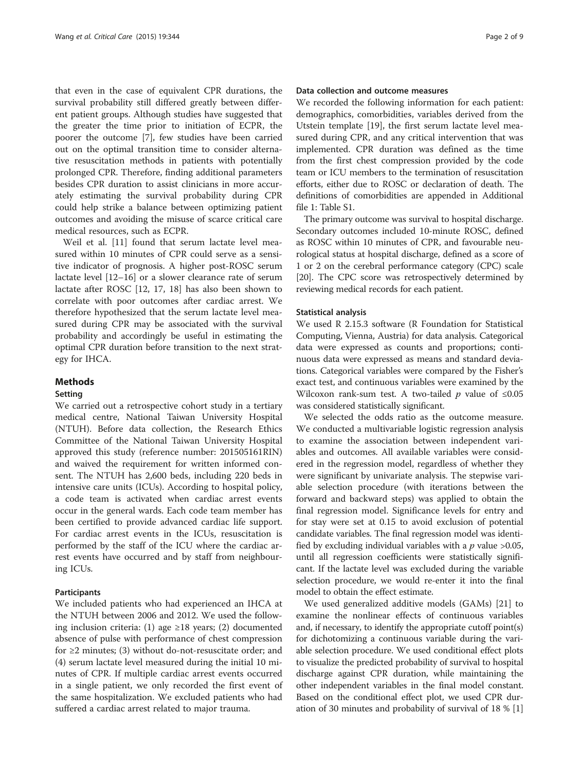that even in the case of equivalent CPR durations, the survival probability still differed greatly between different patient groups. Although studies have suggested that the greater the time prior to initiation of ECPR, the poorer the outcome [\[7](#page-7-0)], few studies have been carried out on the optimal transition time to consider alternative resuscitation methods in patients with potentially prolonged CPR. Therefore, finding additional parameters besides CPR duration to assist clinicians in more accurately estimating the survival probability during CPR could help strike a balance between optimizing patient outcomes and avoiding the misuse of scarce critical care medical resources, such as ECPR.

Weil et al. [\[11\]](#page-7-0) found that serum lactate level measured within 10 minutes of CPR could serve as a sensitive indicator of prognosis. A higher post-ROSC serum lactate level [[12](#page-7-0)–[16](#page-8-0)] or a slower clearance rate of serum lactate after ROSC [\[12,](#page-7-0) [17, 18\]](#page-8-0) has also been shown to correlate with poor outcomes after cardiac arrest. We therefore hypothesized that the serum lactate level measured during CPR may be associated with the survival probability and accordingly be useful in estimating the optimal CPR duration before transition to the next strategy for IHCA.

# Methods

# Setting

We carried out a retrospective cohort study in a tertiary medical centre, National Taiwan University Hospital (NTUH). Before data collection, the Research Ethics Committee of the National Taiwan University Hospital approved this study (reference number: 201505161RIN) and waived the requirement for written informed consent. The NTUH has 2,600 beds, including 220 beds in intensive care units (ICUs). According to hospital policy, a code team is activated when cardiac arrest events occur in the general wards. Each code team member has been certified to provide advanced cardiac life support. For cardiac arrest events in the ICUs, resuscitation is performed by the staff of the ICU where the cardiac arrest events have occurred and by staff from neighbouring ICUs.

## Participants

We included patients who had experienced an IHCA at the NTUH between 2006 and 2012. We used the following inclusion criteria: (1) age ≥18 years; (2) documented absence of pulse with performance of chest compression for  $\geq$ 2 minutes; (3) without do-not-resuscitate order; and (4) serum lactate level measured during the initial 10 minutes of CPR. If multiple cardiac arrest events occurred in a single patient, we only recorded the first event of the same hospitalization. We excluded patients who had suffered a cardiac arrest related to major trauma.

# Data collection and outcome measures

We recorded the following information for each patient: demographics, comorbidities, variables derived from the Utstein template [[19\]](#page-8-0), the first serum lactate level measured during CPR, and any critical intervention that was implemented. CPR duration was defined as the time from the first chest compression provided by the code team or ICU members to the termination of resuscitation efforts, either due to ROSC or declaration of death. The definitions of comorbidities are appended in Additional file [1](#page-7-0): Table S1.

The primary outcome was survival to hospital discharge. Secondary outcomes included 10-minute ROSC, defined as ROSC within 10 minutes of CPR, and favourable neurological status at hospital discharge, defined as a score of 1 or 2 on the cerebral performance category (CPC) scale [[20](#page-8-0)]. The CPC score was retrospectively determined by reviewing medical records for each patient.

# Statistical analysis

We used R 2.15.3 software (R Foundation for Statistical Computing, Vienna, Austria) for data analysis. Categorical data were expressed as counts and proportions; continuous data were expressed as means and standard deviations. Categorical variables were compared by the Fisher's exact test, and continuous variables were examined by the Wilcoxon rank-sum test. A two-tailed  $p$  value of ≤0.05 was considered statistically significant.

We selected the odds ratio as the outcome measure. We conducted a multivariable logistic regression analysis to examine the association between independent variables and outcomes. All available variables were considered in the regression model, regardless of whether they were significant by univariate analysis. The stepwise variable selection procedure (with iterations between the forward and backward steps) was applied to obtain the final regression model. Significance levels for entry and for stay were set at 0.15 to avoid exclusion of potential candidate variables. The final regression model was identified by excluding individual variables with a  $p$  value >0.05, until all regression coefficients were statistically significant. If the lactate level was excluded during the variable selection procedure, we would re-enter it into the final model to obtain the effect estimate.

We used generalized additive models (GAMs) [\[21](#page-8-0)] to examine the nonlinear effects of continuous variables and, if necessary, to identify the appropriate cutoff point(s) for dichotomizing a continuous variable during the variable selection procedure. We used conditional effect plots to visualize the predicted probability of survival to hospital discharge against CPR duration, while maintaining the other independent variables in the final model constant. Based on the conditional effect plot, we used CPR duration of 30 minutes and probability of survival of 18 % [[1](#page-7-0)]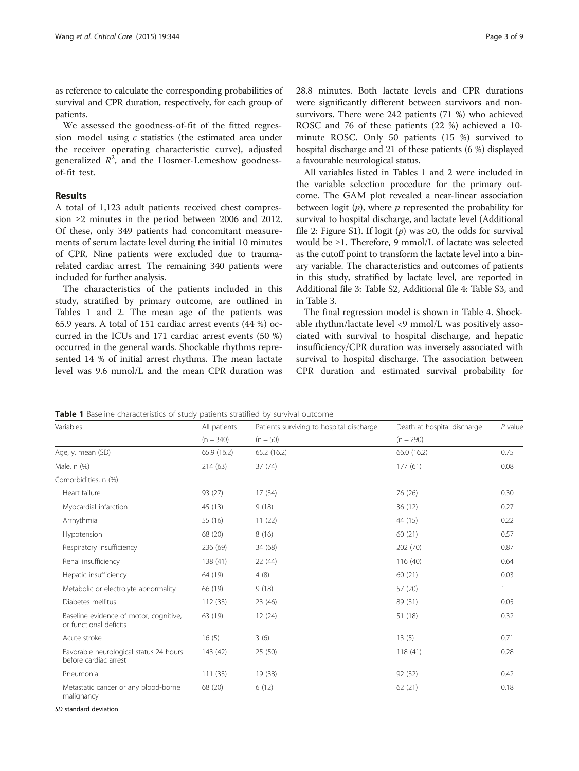as reference to calculate the corresponding probabilities of survival and CPR duration, respectively, for each group of patients.

We assessed the goodness-of-fit of the fitted regression model using c statistics (the estimated area under the receiver operating characteristic curve), adjusted generalized  $R^2$ , and the Hosmer-Lemeshow goodnessof-fit test.

# Results

A total of 1,123 adult patients received chest compression ≥2 minutes in the period between 2006 and 2012. Of these, only 349 patients had concomitant measurements of serum lactate level during the initial 10 minutes of CPR. Nine patients were excluded due to traumarelated cardiac arrest. The remaining 340 patients were included for further analysis.

The characteristics of the patients included in this study, stratified by primary outcome, are outlined in Tables 1 and [2.](#page-3-0) The mean age of the patients was 65.9 years. A total of 151 cardiac arrest events (44 %) occurred in the ICUs and 171 cardiac arrest events (50 %) occurred in the general wards. Shockable rhythms represented 14 % of initial arrest rhythms. The mean lactate level was 9.6 mmol/L and the mean CPR duration was 28.8 minutes. Both lactate levels and CPR durations were significantly different between survivors and nonsurvivors. There were 242 patients (71 %) who achieved ROSC and 76 of these patients (22 %) achieved a 10 minute ROSC. Only 50 patients (15 %) survived to hospital discharge and 21 of these patients (6 %) displayed a favourable neurological status.

All variables listed in Tables 1 and [2](#page-3-0) were included in the variable selection procedure for the primary outcome. The GAM plot revealed a near-linear association between logit  $(p)$ , where p represented the probability for survival to hospital discharge, and lactate level (Additional file [2:](#page-7-0) Figure S1). If logit (p) was  $\geq 0$ , the odds for survival would be ≥1. Therefore, 9 mmol/L of lactate was selected as the cutoff point to transform the lactate level into a binary variable. The characteristics and outcomes of patients in this study, stratified by lactate level, are reported in Additional file [3:](#page-7-0) Table S2, Additional file [4](#page-7-0): Table S3, and in Table [3](#page-3-0).

The final regression model is shown in Table [4](#page-4-0). Shockable rhythm/lactate level <9 mmol/L was positively associated with survival to hospital discharge, and hepatic insufficiency/CPR duration was inversely associated with survival to hospital discharge. The association between CPR duration and estimated survival probability for

**Table 1** Baseline characteristics of study patients stratified by survival outcome

| Variables                                                        | All patients | Patients surviving to hospital discharge | Death at hospital discharge | $P$ value |
|------------------------------------------------------------------|--------------|------------------------------------------|-----------------------------|-----------|
|                                                                  | $(n = 340)$  | $(n = 50)$                               | $(n = 290)$                 |           |
| Age, y, mean (SD)                                                | 65.9 (16.2)  | 65.2 (16.2)                              | 66.0 (16.2)                 | 0.75      |
| Male, n (%)                                                      | 214 (63)     | 37(74)                                   | 177(61)                     | 0.08      |
| Comorbidities, n (%)                                             |              |                                          |                             |           |
| Heart failure                                                    | 93 (27)      | 17(34)                                   | 76 (26)                     | 0.30      |
| Myocardial infarction                                            | 45 (13)      | 9(18)                                    | 36 (12)                     | 0.27      |
| Arrhythmia                                                       | 55 (16)      | 11(22)                                   | 44 (15)                     | 0.22      |
| Hypotension                                                      | 68 (20)      | 8(16)                                    | 60(21)                      | 0.57      |
| Respiratory insufficiency                                        | 236 (69)     | 34 (68)                                  | 202 (70)                    | 0.87      |
| Renal insufficiency                                              | 138 (41)     | 22 (44)                                  | 116(40)                     | 0.64      |
| Hepatic insufficiency                                            | 64 (19)      | 4(8)                                     | 60(21)                      | 0.03      |
| Metabolic or electrolyte abnormality                             | 66 (19)      | 9(18)                                    | 57 (20)                     | 1         |
| Diabetes mellitus                                                | 112(33)      | 23 (46)                                  | 89 (31)                     | 0.05      |
| Baseline evidence of motor, cognitive,<br>or functional deficits | 63 (19)      | 12(24)                                   | 51 (18)                     | 0.32      |
| Acute stroke                                                     | 16(5)        | 3(6)                                     | 13(5)                       | 0.71      |
| Favorable neurological status 24 hours<br>before cardiac arrest  | 143 (42)     | 25(50)                                   | 118(41)                     | 0.28      |
| Pneumonia                                                        | 111(33)      | 19 (38)                                  | 92 (32)                     | 0.42      |
| Metastatic cancer or any blood-borne<br>malignancy               | 68 (20)      | 6(12)                                    | 62(21)                      | 0.18      |

SD standard deviation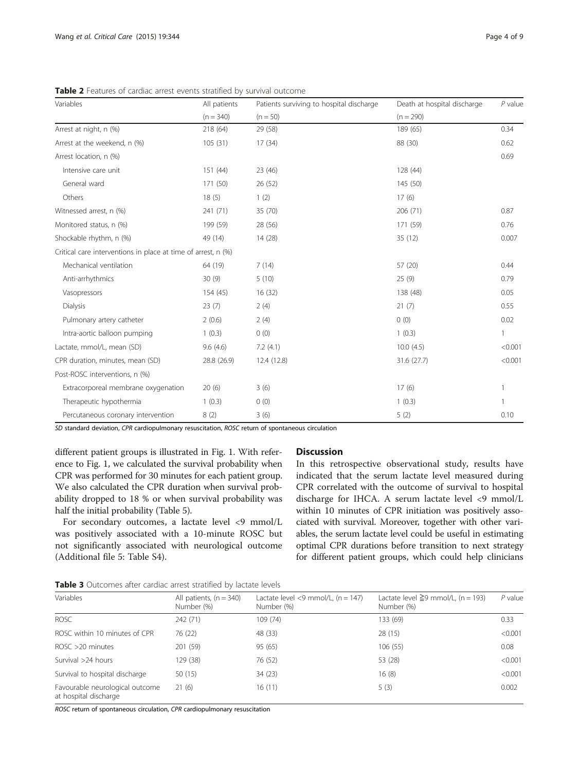<span id="page-3-0"></span>Table 2 Features of cardiac arrest events stratified by survival outcome

| Variables                                                     | All patients | Patients surviving to hospital discharge | Death at hospital discharge | $P$ value    |
|---------------------------------------------------------------|--------------|------------------------------------------|-----------------------------|--------------|
|                                                               | $(n = 340)$  | $(n = 50)$                               | $(n = 290)$                 |              |
| Arrest at night, n (%)                                        | 218 (64)     | 29 (58)                                  | 189 (65)                    | 0.34         |
| Arrest at the weekend, n (%)                                  | 105(31)      | 17(34)                                   | 88 (30)                     | 0.62         |
| Arrest location, n (%)                                        |              |                                          |                             | 0.69         |
| Intensive care unit                                           | 151(44)      | 23(46)                                   | 128 (44)                    |              |
| General ward                                                  | 171 (50)     | 26 (52)                                  | 145 (50)                    |              |
| Others                                                        | 18(5)        | 1(2)                                     | 17(6)                       |              |
| Witnessed arrest, n (%)                                       | 241 (71)     | 35 (70)                                  | 206 (71)                    | 0.87         |
| Monitored status, n (%)                                       | 199 (59)     | 28 (56)                                  | 171 (59)                    | 0.76         |
| Shockable rhythm, n (%)                                       | 49 (14)      | 14 (28)                                  | 35(12)                      | 0.007        |
| Critical care interventions in place at time of arrest, n (%) |              |                                          |                             |              |
| Mechanical ventilation                                        | 64 (19)      | 7(14)                                    | 57 (20)                     | 0.44         |
| Anti-arrhythmics                                              | 30(9)        | 5(10)                                    | 25(9)                       | 0.79         |
| Vasopressors                                                  | 154 (45)     | 16(32)                                   | 138 (48)                    | 0.05         |
| Dialysis                                                      | 23(7)        | 2(4)                                     | 21(7)                       | 0.55         |
| Pulmonary artery catheter                                     | 2(0.6)       | 2(4)                                     | 0(0)                        | 0.02         |
| Intra-aortic balloon pumping                                  | 1(0.3)       | 0(0)                                     | 1(0.3)                      | 1            |
| Lactate, mmol/L, mean (SD)                                    | 9.6(4.6)     | 7.2(4.1)                                 | 10.0(4.5)                   | < 0.001      |
| CPR duration, minutes, mean (SD)                              | 28.8 (26.9)  | 12.4 (12.8)                              | 31.6 (27.7)                 | < 0.001      |
| Post-ROSC interventions, n (%)                                |              |                                          |                             |              |
| Extracorporeal membrane oxygenation                           | 20(6)        | 3(6)                                     | 17(6)                       | $\mathbf{1}$ |
| Therapeutic hypothermia                                       | 1(0.3)       | 0(0)                                     | 1(0.3)                      |              |
| Percutaneous coronary intervention                            | 8(2)         | 3(6)                                     | 5(2)                        | 0.10         |

SD standard deviation, CPR cardiopulmonary resuscitation, ROSC return of spontaneous circulation

different patient groups is illustrated in Fig. [1.](#page-4-0) With reference to Fig. [1](#page-4-0), we calculated the survival probability when CPR was performed for 30 minutes for each patient group. We also calculated the CPR duration when survival probability dropped to 18 % or when survival probability was half the initial probability (Table [5](#page-5-0)).

For secondary outcomes, a lactate level <9 mmol/L was positively associated with a 10-minute ROSC but not significantly associated with neurological outcome (Additional file [5](#page-7-0): Table S4).

# **Discussion**

In this retrospective observational study, results have indicated that the serum lactate level measured during CPR correlated with the outcome of survival to hospital discharge for IHCA. A serum lactate level <9 mmol/L within 10 minutes of CPR initiation was positively associated with survival. Moreover, together with other variables, the serum lactate level could be useful in estimating optimal CPR durations before transition to next strategy for different patient groups, which could help clinicians

**Table 3** Outcomes after cardiac arrest stratified by lactate levels

| <b>I was a a</b> context fine when conclude on each structure $\omega$ , notice it is the |                                         |                                                    |                                                        |           |
|-------------------------------------------------------------------------------------------|-----------------------------------------|----------------------------------------------------|--------------------------------------------------------|-----------|
| Variables                                                                                 | All patients, $(n = 340)$<br>Number (%) | Lactate level <9 mmol/L, $(n = 147)$<br>Number (%) | Lactate level $\geq$ 9 mmol/L, (n = 193)<br>Number (%) | $P$ value |
| <b>ROSC</b>                                                                               | 242 (71)                                | 109 (74)                                           | 133 (69)                                               | 0.33      |
| ROSC within 10 minutes of CPR                                                             | 76 (22)                                 | 48 (33)                                            | 28(15)                                                 | < 0.001   |
| $ROSC > 20$ minutes                                                                       | 201 (59)                                | 95 (65)                                            | 106(55)                                                | 0.08      |
| Survival >24 hours                                                                        | 129 (38)                                | 76 (52)                                            | 53 (28)                                                | < 0.001   |
| Survival to hospital discharge                                                            | 50(15)                                  | 34 (23)                                            | 16(8)                                                  | < 0.001   |
| Favourable neurological outcome<br>at hospital discharge                                  | 21(6)                                   | 16(11)                                             | 5(3)                                                   | 0.002     |

ROSC return of spontaneous circulation, CPR cardiopulmonary resuscitation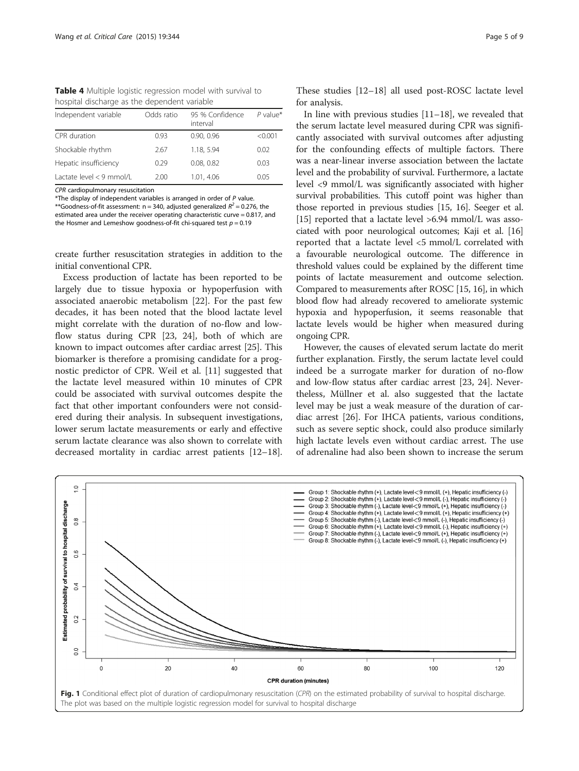<span id="page-4-0"></span>Table 4 Multiple logistic regression model with survival to hospital discharge as the dependent variable

| Independent variable     | Odds ratio | 95 % Confidence<br>interval | $P$ value <sup>*</sup> |
|--------------------------|------------|-----------------------------|------------------------|
| CPR duration             | 0.93       | 0.90, 0.96                  | < 0.001                |
| Shockable rhythm         | 2.67       | 1.18, 5.94                  | 0.02                   |
| Hepatic insufficiency    | 0.29       | 0.08.0.82                   | 0.03                   |
| Lactate level < 9 mmol/L | 2.00       | 1.01, 4.06                  | 0.05                   |

CPR cardiopulmonary resuscitation

\*The display of independent variables is arranged in order of P value. \*\*Goodness-of-fit assessment:  $n = 340$ , adjusted generalized  $R^2 = 0.276$ , the estimated area under the receiver operating characteristic curve = 0.817, and the Hosmer and Lemeshow goodness-of-fit chi-squared test  $p = 0.19$ 

create further resuscitation strategies in addition to the initial conventional CPR.

Excess production of lactate has been reported to be largely due to tissue hypoxia or hypoperfusion with associated anaerobic metabolism [[22\]](#page-8-0). For the past few decades, it has been noted that the blood lactate level might correlate with the duration of no-flow and lowflow status during CPR [[23, 24\]](#page-8-0), both of which are known to impact outcomes after cardiac arrest [\[25](#page-8-0)]. This biomarker is therefore a promising candidate for a prognostic predictor of CPR. Weil et al. [\[11\]](#page-7-0) suggested that the lactate level measured within 10 minutes of CPR could be associated with survival outcomes despite the fact that other important confounders were not considered during their analysis. In subsequent investigations, lower serum lactate measurements or early and effective serum lactate clearance was also shown to correlate with decreased mortality in cardiac arrest patients [[12](#page-7-0)–[18](#page-8-0)].

These studies [\[12](#page-7-0)–[18\]](#page-8-0) all used post-ROSC lactate level for analysis.

In line with previous studies [[11](#page-7-0)–[18](#page-8-0)], we revealed that the serum lactate level measured during CPR was significantly associated with survival outcomes after adjusting for the confounding effects of multiple factors. There was a near-linear inverse association between the lactate level and the probability of survival. Furthermore, a lactate level <9 mmol/L was significantly associated with higher survival probabilities. This cutoff point was higher than those reported in previous studies [\[15,](#page-7-0) [16\]](#page-8-0). Seeger et al. [[15](#page-7-0)] reported that a lactate level >6.94 mmol/L was associated with poor neurological outcomes; Kaji et al. [[16](#page-8-0)] reported that a lactate level <5 mmol/L correlated with a favourable neurological outcome. The difference in threshold values could be explained by the different time points of lactate measurement and outcome selection. Compared to measurements after ROSC [\[15](#page-7-0), [16](#page-8-0)], in which blood flow had already recovered to ameliorate systemic hypoxia and hypoperfusion, it seems reasonable that lactate levels would be higher when measured during ongoing CPR.

However, the causes of elevated serum lactate do merit further explanation. Firstly, the serum lactate level could indeed be a surrogate marker for duration of no-flow and low-flow status after cardiac arrest [[23, 24\]](#page-8-0). Nevertheless, Müllner et al. also suggested that the lactate level may be just a weak measure of the duration of cardiac arrest [[26](#page-8-0)]. For IHCA patients, various conditions, such as severe septic shock, could also produce similarly high lactate levels even without cardiac arrest. The use of adrenaline had also been shown to increase the serum

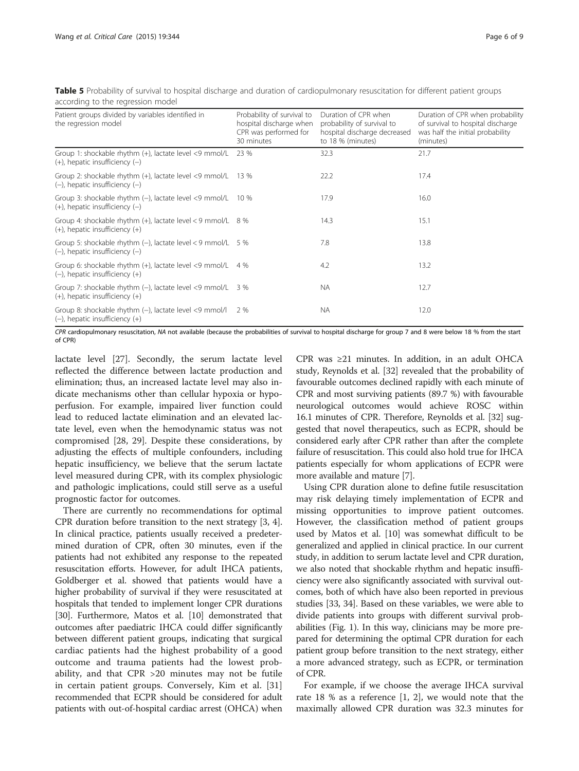<span id="page-5-0"></span>Table 5 Probability of survival to hospital discharge and duration of cardiopulmonary resuscitation for different patient groups according to the regression model

| Patient groups divided by variables identified in<br>the regression model                               | Probability of survival to<br>hospital discharge when<br>CPR was performed for<br>30 minutes | Duration of CPR when<br>probability of survival to<br>hospital discharge decreased<br>to 18 % (minutes) | Duration of CPR when probability<br>of survival to hospital discharge<br>was half the initial probability<br>(minutes) |
|---------------------------------------------------------------------------------------------------------|----------------------------------------------------------------------------------------------|---------------------------------------------------------------------------------------------------------|------------------------------------------------------------------------------------------------------------------------|
| Group 1: shockable rhythm (+), lactate level <9 mmol/L<br>$(+)$ , hepatic insufficiency $(-)$           | 23 %                                                                                         | 32.3                                                                                                    | 21.7                                                                                                                   |
| Group 2: shockable rhythm $(+)$ , lactate level <9 mmol/L 13 %<br>$(-)$ , hepatic insufficiency $(-)$   |                                                                                              | 22.2                                                                                                    | 17.4                                                                                                                   |
| Group 3: shockable rhythm $(-)$ , lactate level <9 mmol/L 10 %<br>$(+)$ , hepatic insufficiency $(-)$   |                                                                                              | 17.9                                                                                                    | 16.0                                                                                                                   |
| Group 4: shockable rhythm $(+)$ , lactate level < 9 mmol/L $8\%$<br>$(+)$ , hepatic insufficiency $(+)$ |                                                                                              | 14.3                                                                                                    | 15.1                                                                                                                   |
| Group 5: shockable rhythm $(-)$ , lactate level < 9 mmol/L 5 %<br>$(-)$ , hepatic insufficiency $(-)$   |                                                                                              | 7.8                                                                                                     | 13.8                                                                                                                   |
| Group 6: shockable rhythm (+), lactate level <9 mmol/L 4 %<br>$(-)$ , hepatic insufficiency $(+)$       |                                                                                              | 4.2                                                                                                     | 13.2                                                                                                                   |
| Group 7: shockable rhythm (-), lactate level <9 mmol/L 3 %<br>$(+)$ , hepatic insufficiency $(+)$       |                                                                                              | <b>NA</b>                                                                                               | 12.7                                                                                                                   |
| Group 8: shockable rhythm (-), lactate level <9 mmol/l<br>$(-)$ , hepatic insufficiency $(+)$           | 2 %                                                                                          | <b>NA</b>                                                                                               | 12.0                                                                                                                   |

CPR cardiopulmonary resuscitation, NA not available (because the probabilities of survival to hospital discharge for group 7 and 8 were below 18 % from the start of CPR)

lactate level [[27\]](#page-8-0). Secondly, the serum lactate level reflected the difference between lactate production and elimination; thus, an increased lactate level may also indicate mechanisms other than cellular hypoxia or hypoperfusion. For example, impaired liver function could lead to reduced lactate elimination and an elevated lactate level, even when the hemodynamic status was not compromised [[28, 29\]](#page-8-0). Despite these considerations, by adjusting the effects of multiple confounders, including hepatic insufficiency, we believe that the serum lactate level measured during CPR, with its complex physiologic and pathologic implications, could still serve as a useful prognostic factor for outcomes.

There are currently no recommendations for optimal CPR duration before transition to the next strategy [\[3](#page-7-0), [4](#page-7-0)]. In clinical practice, patients usually received a predetermined duration of CPR, often 30 minutes, even if the patients had not exhibited any response to the repeated resuscitation efforts. However, for adult IHCA patients, Goldberger et al. showed that patients would have a higher probability of survival if they were resuscitated at hospitals that tended to implement longer CPR durations [[30](#page-8-0)]. Furthermore, Matos et al. [\[10\]](#page-7-0) demonstrated that outcomes after paediatric IHCA could differ significantly between different patient groups, indicating that surgical cardiac patients had the highest probability of a good outcome and trauma patients had the lowest probability, and that CPR >20 minutes may not be futile in certain patient groups. Conversely, Kim et al. [\[31](#page-8-0)] recommended that ECPR should be considered for adult patients with out-of-hospital cardiac arrest (OHCA) when

CPR was ≥21 minutes. In addition, in an adult OHCA study, Reynolds et al. [\[32\]](#page-8-0) revealed that the probability of favourable outcomes declined rapidly with each minute of CPR and most surviving patients (89.7 %) with favourable neurological outcomes would achieve ROSC within 16.1 minutes of CPR. Therefore, Reynolds et al. [\[32\]](#page-8-0) suggested that novel therapeutics, such as ECPR, should be considered early after CPR rather than after the complete failure of resuscitation. This could also hold true for IHCA patients especially for whom applications of ECPR were more available and mature [[7\]](#page-7-0).

Using CPR duration alone to define futile resuscitation may risk delaying timely implementation of ECPR and missing opportunities to improve patient outcomes. However, the classification method of patient groups used by Matos et al. [\[10\]](#page-7-0) was somewhat difficult to be generalized and applied in clinical practice. In our current study, in addition to serum lactate level and CPR duration, we also noted that shockable rhythm and hepatic insufficiency were also significantly associated with survival outcomes, both of which have also been reported in previous studies [[33](#page-8-0), [34\]](#page-8-0). Based on these variables, we were able to divide patients into groups with different survival probabilities (Fig. [1](#page-4-0)). In this way, clinicians may be more prepared for determining the optimal CPR duration for each patient group before transition to the next strategy, either a more advanced strategy, such as ECPR, or termination of CPR.

For example, if we choose the average IHCA survival rate 18 % as a reference [\[1](#page-7-0), [2](#page-7-0)], we would note that the maximally allowed CPR duration was 32.3 minutes for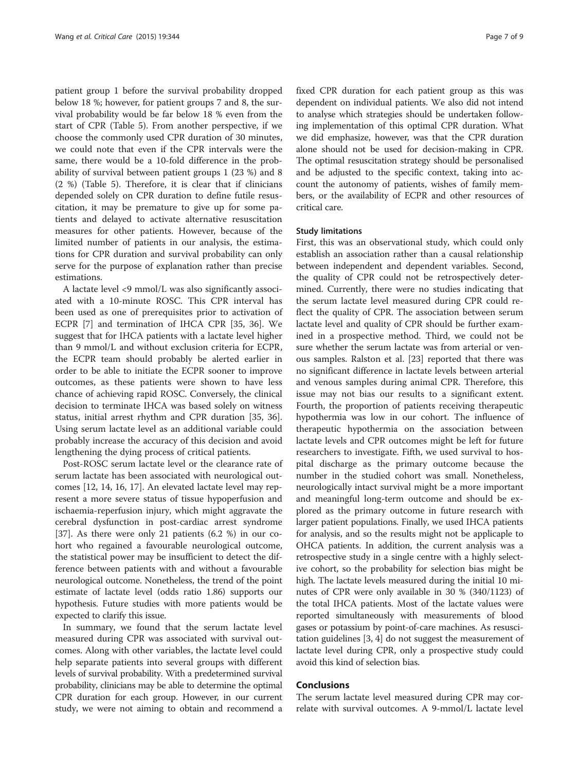patient group 1 before the survival probability dropped below 18 %; however, for patient groups 7 and 8, the survival probability would be far below 18 % even from the start of CPR (Table [5](#page-5-0)). From another perspective, if we choose the commonly used CPR duration of 30 minutes, we could note that even if the CPR intervals were the same, there would be a 10-fold difference in the probability of survival between patient groups 1 (23 %) and 8 (2 %) (Table [5](#page-5-0)). Therefore, it is clear that if clinicians depended solely on CPR duration to define futile resuscitation, it may be premature to give up for some patients and delayed to activate alternative resuscitation measures for other patients. However, because of the limited number of patients in our analysis, the estimations for CPR duration and survival probability can only serve for the purpose of explanation rather than precise estimations.

A lactate level <9 mmol/L was also significantly associated with a 10-minute ROSC. This CPR interval has been used as one of prerequisites prior to activation of ECPR [\[7\]](#page-7-0) and termination of IHCA CPR [\[35, 36](#page-8-0)]. We suggest that for IHCA patients with a lactate level higher than 9 mmol/L and without exclusion criteria for ECPR, the ECPR team should probably be alerted earlier in order to be able to initiate the ECPR sooner to improve outcomes, as these patients were shown to have less chance of achieving rapid ROSC. Conversely, the clinical decision to terminate IHCA was based solely on witness status, initial arrest rhythm and CPR duration [\[35](#page-8-0), [36](#page-8-0)]. Using serum lactate level as an additional variable could probably increase the accuracy of this decision and avoid lengthening the dying process of critical patients.

Post-ROSC serum lactate level or the clearance rate of serum lactate has been associated with neurological outcomes [[12](#page-7-0), [14](#page-7-0), [16](#page-8-0), [17](#page-8-0)]. An elevated lactate level may represent a more severe status of tissue hypoperfusion and ischaemia-reperfusion injury, which might aggravate the cerebral dysfunction in post-cardiac arrest syndrome [[37\]](#page-8-0). As there were only 21 patients (6.2 %) in our cohort who regained a favourable neurological outcome, the statistical power may be insufficient to detect the difference between patients with and without a favourable neurological outcome. Nonetheless, the trend of the point estimate of lactate level (odds ratio 1.86) supports our hypothesis. Future studies with more patients would be expected to clarify this issue.

In summary, we found that the serum lactate level measured during CPR was associated with survival outcomes. Along with other variables, the lactate level could help separate patients into several groups with different levels of survival probability. With a predetermined survival probability, clinicians may be able to determine the optimal CPR duration for each group. However, in our current study, we were not aiming to obtain and recommend a

fixed CPR duration for each patient group as this was dependent on individual patients. We also did not intend to analyse which strategies should be undertaken following implementation of this optimal CPR duration. What we did emphasize, however, was that the CPR duration alone should not be used for decision-making in CPR. The optimal resuscitation strategy should be personalised and be adjusted to the specific context, taking into account the autonomy of patients, wishes of family members, or the availability of ECPR and other resources of critical care.

# Study limitations

First, this was an observational study, which could only establish an association rather than a causal relationship between independent and dependent variables. Second, the quality of CPR could not be retrospectively determined. Currently, there were no studies indicating that the serum lactate level measured during CPR could reflect the quality of CPR. The association between serum lactate level and quality of CPR should be further examined in a prospective method. Third, we could not be sure whether the serum lactate was from arterial or venous samples. Ralston et al. [\[23\]](#page-8-0) reported that there was no significant difference in lactate levels between arterial and venous samples during animal CPR. Therefore, this issue may not bias our results to a significant extent. Fourth, the proportion of patients receiving therapeutic hypothermia was low in our cohort. The influence of therapeutic hypothermia on the association between lactate levels and CPR outcomes might be left for future researchers to investigate. Fifth, we used survival to hospital discharge as the primary outcome because the number in the studied cohort was small. Nonetheless, neurologically intact survival might be a more important and meaningful long-term outcome and should be explored as the primary outcome in future research with larger patient populations. Finally, we used IHCA patients for analysis, and so the results might not be applicaple to OHCA patients. In addition, the current analysis was a retrospective study in a single centre with a highly selective cohort, so the probability for selection bias might be high. The lactate levels measured during the initial 10 minutes of CPR were only available in 30 % (340/1123) of the total IHCA patients. Most of the lactate values were reported simultaneously with measurements of blood gases or potassium by point-of-care machines. As resuscitation guidelines [[3](#page-7-0), [4](#page-7-0)] do not suggest the measurement of lactate level during CPR, only a prospective study could avoid this kind of selection bias.

# Conclusions

The serum lactate level measured during CPR may correlate with survival outcomes. A 9-mmol/L lactate level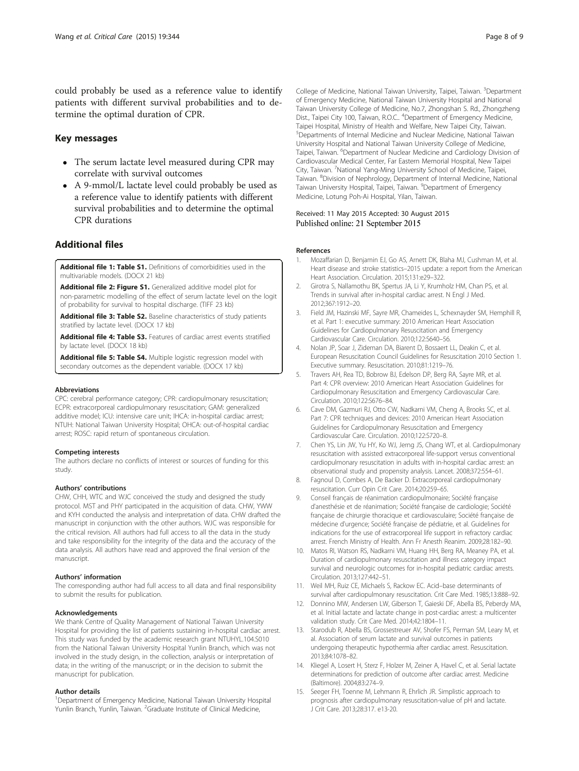<span id="page-7-0"></span>could probably be used as a reference value to identify patients with different survival probabilities and to determine the optimal duration of CPR.

# Key messages

- The serum lactate level measured during CPR may correlate with survival outcomes
- A 9-mmol/L lactate level could probably be used as a reference value to identify patients with different survival probabilities and to determine the optimal CPR durations

# Additional files

[Additional file 1: Table S1.](http://ccforum.com/content/supplementary/s13054-015-1058-7-s1.docx) Definitions of comorbidities used in the multivariable models. (DOCX 21 kb)

[Additional file 2: Figure S1.](http://ccforum.com/content/supplementary/s13054-015-1058-7-s2.tif) Generalized additive model plot for non-parametric modelling of the effect of serum lactate level on the logit of probability for survival to hospital discharge. (TIFF 23 kb)

[Additional file 3: Table S2.](http://ccforum.com/content/supplementary/s13054-015-1058-7-s3.docx) Baseline characteristics of study patients stratified by lactate level. (DOCX 17 kb)

[Additional file 4: Table S3.](http://ccforum.com/content/supplementary/s13054-015-1058-7-s4.docx) Features of cardiac arrest events stratified by lactate level. (DOCX 18 kb)

[Additional file 5: Table S4.](http://ccforum.com/content/supplementary/s13054-015-1058-7-s5.docx) Multiple logistic regression model with secondary outcomes as the dependent variable. (DOCX 17 kb)

#### Abbreviations

CPC: cerebral performance category; CPR: cardiopulmonary resuscitation; ECPR: extracorporeal cardiopulmonary resuscitation; GAM: generalized additive model; ICU: intensive care unit; IHCA: in-hospital cardiac arrest; NTUH: National Taiwan University Hospital; OHCA: out-of-hospital cardiac arrest; ROSC: rapid return of spontaneous circulation.

#### Competing interests

The authors declare no conflicts of interest or sources of funding for this study.

#### Authors' contributions

CHW, CHH, WTC and WJC conceived the study and designed the study protocol. MST and PHY participated in the acquisition of data. CHW, YWW and KYH conducted the analysis and interpretation of data. CHW drafted the manuscript in conjunction with the other authors. WJC was responsible for the critical revision. All authors had full access to all the data in the study and take responsibility for the integrity of the data and the accuracy of the data analysis. All authors have read and approved the final version of the manuscript.

## Authors' information

The corresponding author had full access to all data and final responsibility to submit the results for publication.

#### Acknowledgements

We thank Centre of Quality Management of National Taiwan University Hospital for providing the list of patients sustaining in-hospital cardiac arrest. This study was funded by the academic research grant NTUHYL.104.S010 from the National Taiwan University Hospital Yunlin Branch, which was not involved in the study design, in the collection, analysis or interpretation of data; in the writing of the manuscript; or in the decision to submit the manuscript for publication.

#### Author details

<sup>1</sup>Department of Emergency Medicine, National Taiwan University Hospital Yunlin Branch, Yunlin, Taiwan. <sup>2</sup>Graduate Institute of Clinical Medicine,

College of Medicine, National Taiwan University, Taipei, Taiwan. <sup>3</sup>Department of Emergency Medicine, National Taiwan University Hospital and National Taiwan University College of Medicine, No.7, Zhongshan S. Rd., Zhongzheng Dist., Taipei City 100, Taiwan, R.O.C.. <sup>4</sup>Department of Emergency Medicine Taipei Hospital, Ministry of Health and Welfare, New Taipei City, Taiwan. 5 Departments of Internal Medicine and Nuclear Medicine, National Taiwan University Hospital and National Taiwan University College of Medicine, Taipei, Taiwan. <sup>6</sup>Department of Nuclear Medicine and Cardiology Division of Cardiovascular Medical Center, Far Eastern Memorial Hospital, New Taipei City, Taiwan. <sup>7</sup>National Yang-Ming University School of Medicine, Taipei Taiwan. <sup>8</sup>Division of Nephrology, Department of Internal Medicine, National Taiwan University Hospital, Taipei, Taiwan. <sup>9</sup>Department of Emergency Medicine, Lotung Poh-Ai Hospital, Yilan, Taiwan.

# Received: 11 May 2015 Accepted: 30 August 2015 Published online: 21 September 2015

#### References

- 1. Mozaffarian D, Benjamin EJ, Go AS, Arnett DK, Blaha MJ, Cushman M, et al. Heart disease and stroke statistics–2015 update: a report from the American Heart Association. Circulation. 2015;131:e29–322.
- 2. Girotra S, Nallamothu BK, Spertus JA, Li Y, Krumholz HM, Chan PS, et al. Trends in survival after in-hospital cardiac arrest. N Engl J Med. 2012;367:1912–20.
- 3. Field JM, Hazinski MF, Sayre MR, Chameides L, Schexnayder SM, Hemphill R, et al. Part 1: executive summary: 2010 American Heart Association Guidelines for Cardiopulmonary Resuscitation and Emergency Cardiovascular Care. Circulation. 2010;122:S640–56.
- 4. Nolan JP, Soar J, Zideman DA, Biarent D, Bossaert LL, Deakin C, et al. European Resuscitation Council Guidelines for Resuscitation 2010 Section 1. Executive summary. Resuscitation. 2010;81:1219–76.
- 5. Travers AH, Rea TD, Bobrow BJ, Edelson DP, Berg RA, Sayre MR, et al. Part 4: CPR overview: 2010 American Heart Association Guidelines for Cardiopulmonary Resuscitation and Emergency Cardiovascular Care. Circulation. 2010;122:S676–84.
- 6. Cave DM, Gazmuri RJ, Otto CW, Nadkarni VM, Cheng A, Brooks SC, et al. Part 7: CPR techniques and devices: 2010 American Heart Association Guidelines for Cardiopulmonary Resuscitation and Emergency Cardiovascular Care. Circulation. 2010;122:S720–8.
- 7. Chen YS, Lin JW, Yu HY, Ko WJ, Jerng JS, Chang WT, et al. Cardiopulmonary resuscitation with assisted extracorporeal life-support versus conventional cardiopulmonary resuscitation in adults with in-hospital cardiac arrest: an observational study and propensity analysis. Lancet. 2008;372:554–61.
- 8. Fagnoul D, Combes A, De Backer D. Extracorporeal cardiopulmonary resuscitation. Curr Opin Crit Care. 2014;20:259–65.
- 9. Conseil français de réanimation cardiopulmonaire; Société française d'anesthésie et de réanimation; Société française de cardiologie; Société française de chirurgie thoracique et cardiovasculaire; Société française de médecine d'urgence; Société française de pédiatrie, et al. Guidelines for indications for the use of extracorporeal life support in refractory cardiac arrest. French Ministry of Health. Ann Fr Anesth Reanim. 2009;28:182–90.
- 10. Matos RI, Watson RS, Nadkarni VM, Huang HH, Berg RA, Meaney PA, et al. Duration of cardiopulmonary resuscitation and illness category impact survival and neurologic outcomes for in-hospital pediatric cardiac arrests. Circulation. 2013;127:442–51.
- 11. Weil MH, Ruiz CE, Michaels S, Rackow EC. Acid–base determinants of survival after cardiopulmonary resuscitation. Crit Care Med. 1985;13:888–92.
- 12. Donnino MW, Andersen LW, Giberson T, Gaieski DF, Abella BS, Peberdy MA, et al. Initial lactate and lactate change in post-cardiac arrest: a multicenter validation study. Crit Care Med. 2014;42:1804–11.
- 13. Starodub R, Abella BS, Grossestreuer AV, Shofer FS, Perman SM, Leary M, et al. Association of serum lactate and survival outcomes in patients undergoing therapeutic hypothermia after cardiac arrest. Resuscitation. 2013;84:1078–82.
- 14. Kliegel A, Losert H, Sterz F, Holzer M, Zeiner A, Havel C, et al. Serial lactate determinations for prediction of outcome after cardiac arrest. Medicine (Baltimore). 2004;83:274–9.
- 15. Seeger FH, Toenne M, Lehmann R, Ehrlich JR. Simplistic approach to prognosis after cardiopulmonary resuscitation-value of pH and lactate. J Crit Care. 2013;28:317. e13-20.